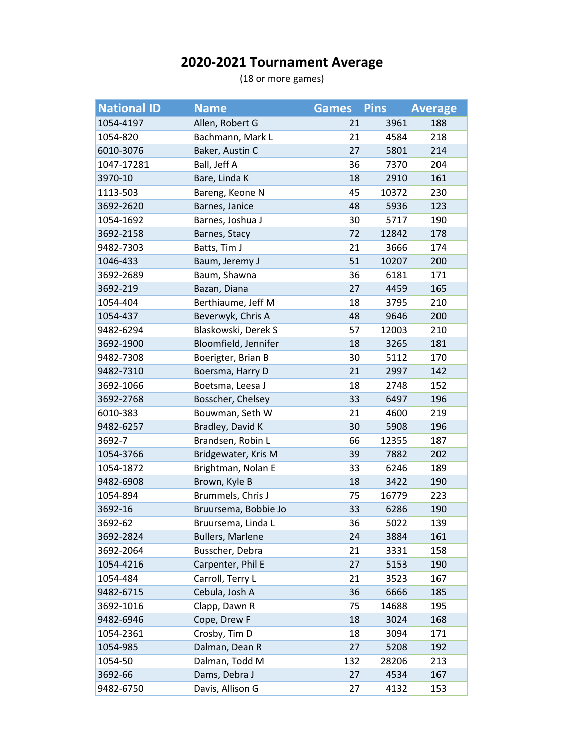## **2020-2021 Tournament Average**

(18 or more games)

| <b>National ID</b> | <b>Name</b>             | <b>Games</b> | <b>Pins</b> | <b>Average</b> |
|--------------------|-------------------------|--------------|-------------|----------------|
| 1054-4197          | Allen, Robert G         | 21           | 3961        | 188            |
| 1054-820           | Bachmann, Mark L        | 21           | 4584        | 218            |
| 6010-3076          | Baker, Austin C         | 27           | 5801        | 214            |
| 1047-17281         | Ball, Jeff A            | 36           | 7370        | 204            |
| 3970-10            | Bare, Linda K           | 18           | 2910        | 161            |
| 1113-503           | Bareng, Keone N         | 45           | 10372       | 230            |
| 3692-2620          | Barnes, Janice          | 48           | 5936        | 123            |
| 1054-1692          | Barnes, Joshua J        | 30           | 5717        | 190            |
| 3692-2158          | Barnes, Stacy           | 72           | 12842       | 178            |
| 9482-7303          | Batts, Tim J            | 21           | 3666        | 174            |
| 1046-433           | Baum, Jeremy J          | 51           | 10207       | 200            |
| 3692-2689          | Baum, Shawna            | 36           | 6181        | 171            |
| 3692-219           | Bazan, Diana            | 27           | 4459        | 165            |
| 1054-404           | Berthiaume, Jeff M      | 18           | 3795        | 210            |
| 1054-437           | Beverwyk, Chris A       | 48           | 9646        | 200            |
| 9482-6294          | Blaskowski, Derek S     | 57           | 12003       | 210            |
| 3692-1900          | Bloomfield, Jennifer    | 18           | 3265        | 181            |
| 9482-7308          | Boerigter, Brian B      | 30           | 5112        | 170            |
| 9482-7310          | Boersma, Harry D        | 21           | 2997        | 142            |
| 3692-1066          | Boetsma, Leesa J        | 18           | 2748        | 152            |
| 3692-2768          | Bosscher, Chelsey       | 33           | 6497        | 196            |
| 6010-383           | Bouwman, Seth W         | 21           | 4600        | 219            |
| 9482-6257          | Bradley, David K        | 30           | 5908        | 196            |
| 3692-7             | Brandsen, Robin L       | 66           | 12355       | 187            |
| 1054-3766          | Bridgewater, Kris M     | 39           | 7882        | 202            |
| 1054-1872          | Brightman, Nolan E      | 33           | 6246        | 189            |
| 9482-6908          | Brown, Kyle B           | 18           | 3422        | 190            |
| 1054-894           | Brummels, Chris J       | 75           | 16779       | 223            |
| 3692-16            | Bruursema, Bobbie Jo    | 33           | 6286        | 190            |
| 3692-62            | Bruursema, Linda L      | 36           | 5022        | 139            |
| 3692-2824          | <b>Bullers, Marlene</b> | 24           | 3884        | 161            |
| 3692-2064          | Busscher, Debra         | 21           | 3331        | 158            |
| 1054-4216          | Carpenter, Phil E       | 27           | 5153        | 190            |
| 1054-484           | Carroll, Terry L        | 21           | 3523        | 167            |
| 9482-6715          | Cebula, Josh A          | 36           | 6666        | 185            |
| 3692-1016          | Clapp, Dawn R           | 75           | 14688       | 195            |
| 9482-6946          | Cope, Drew F            | 18           | 3024        | 168            |
| 1054-2361          | Crosby, Tim D           | 18           | 3094        | 171            |
| 1054-985           | Dalman, Dean R          | 27           | 5208        | 192            |
| 1054-50            | Dalman, Todd M          | 132          | 28206       | 213            |
| 3692-66            | Dams, Debra J           | 27           | 4534        | 167            |
| 9482-6750          | Davis, Allison G        | 27           | 4132        | 153            |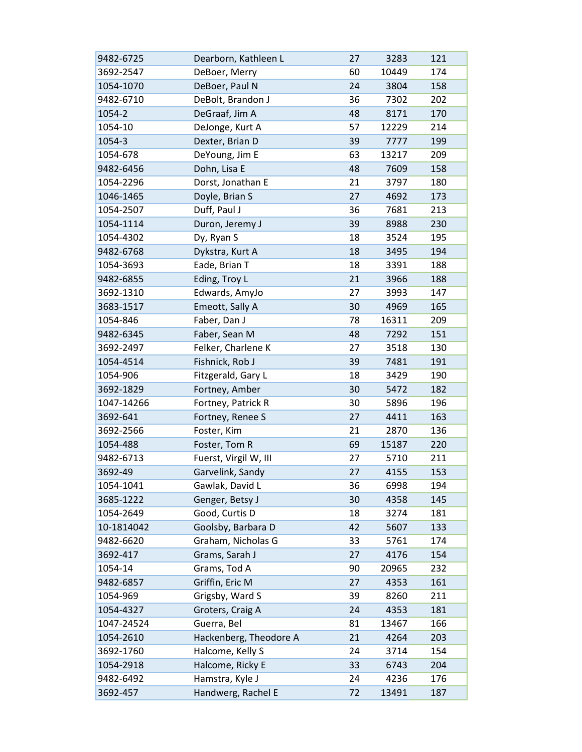| 9482-6725  | Dearborn, Kathleen L   | 27 | 3283  | 121 |
|------------|------------------------|----|-------|-----|
| 3692-2547  | DeBoer, Merry          | 60 | 10449 | 174 |
| 1054-1070  | DeBoer, Paul N         | 24 | 3804  | 158 |
| 9482-6710  | DeBolt, Brandon J      | 36 | 7302  | 202 |
| 1054-2     | DeGraaf, Jim A         | 48 | 8171  | 170 |
| 1054-10    | DeJonge, Kurt A        | 57 | 12229 | 214 |
| 1054-3     | Dexter, Brian D        | 39 | 7777  | 199 |
| 1054-678   | DeYoung, Jim E         | 63 | 13217 | 209 |
| 9482-6456  | Dohn, Lisa E           | 48 | 7609  | 158 |
| 1054-2296  | Dorst, Jonathan E      | 21 | 3797  | 180 |
| 1046-1465  | Doyle, Brian S         | 27 | 4692  | 173 |
| 1054-2507  | Duff, Paul J           | 36 | 7681  | 213 |
| 1054-1114  | Duron, Jeremy J        | 39 | 8988  | 230 |
| 1054-4302  | Dy, Ryan S             | 18 | 3524  | 195 |
| 9482-6768  | Dykstra, Kurt A        | 18 | 3495  | 194 |
| 1054-3693  | Eade, Brian T          | 18 | 3391  | 188 |
| 9482-6855  | Eding, Troy L          | 21 | 3966  | 188 |
| 3692-1310  | Edwards, AmyJo         | 27 | 3993  | 147 |
| 3683-1517  | Emeott, Sally A        | 30 | 4969  | 165 |
| 1054-846   | Faber, Dan J           | 78 | 16311 | 209 |
| 9482-6345  | Faber, Sean M          | 48 | 7292  | 151 |
| 3692-2497  | Felker, Charlene K     | 27 | 3518  | 130 |
| 1054-4514  | Fishnick, Rob J        | 39 | 7481  | 191 |
| 1054-906   | Fitzgerald, Gary L     | 18 | 3429  | 190 |
| 3692-1829  | Fortney, Amber         | 30 | 5472  | 182 |
| 1047-14266 | Fortney, Patrick R     | 30 | 5896  | 196 |
| 3692-641   | Fortney, Renee S       | 27 | 4411  | 163 |
| 3692-2566  | Foster, Kim            | 21 | 2870  | 136 |
| 1054-488   | Foster, Tom R          | 69 | 15187 | 220 |
| 9482-6713  | Fuerst, Virgil W, III  | 27 | 5710  | 211 |
| 3692-49    | Garvelink, Sandy       | 27 | 4155  | 153 |
| 1054-1041  | Gawlak, David L        | 36 | 6998  | 194 |
| 3685-1222  | Genger, Betsy J        | 30 | 4358  | 145 |
| 1054-2649  | Good, Curtis D         | 18 | 3274  | 181 |
| 10-1814042 | Goolsby, Barbara D     | 42 | 5607  | 133 |
| 9482-6620  | Graham, Nicholas G     | 33 | 5761  | 174 |
| 3692-417   | Grams, Sarah J         | 27 | 4176  | 154 |
| 1054-14    | Grams, Tod A           | 90 | 20965 | 232 |
| 9482-6857  | Griffin, Eric M        | 27 | 4353  | 161 |
| 1054-969   | Grigsby, Ward S        | 39 | 8260  | 211 |
| 1054-4327  | Groters, Craig A       | 24 | 4353  | 181 |
| 1047-24524 | Guerra, Bel            | 81 | 13467 | 166 |
| 1054-2610  | Hackenberg, Theodore A | 21 | 4264  | 203 |
| 3692-1760  | Halcome, Kelly S       | 24 | 3714  | 154 |
| 1054-2918  | Halcome, Ricky E       | 33 | 6743  | 204 |
| 9482-6492  | Hamstra, Kyle J        | 24 | 4236  | 176 |
| 3692-457   | Handwerg, Rachel E     | 72 | 13491 | 187 |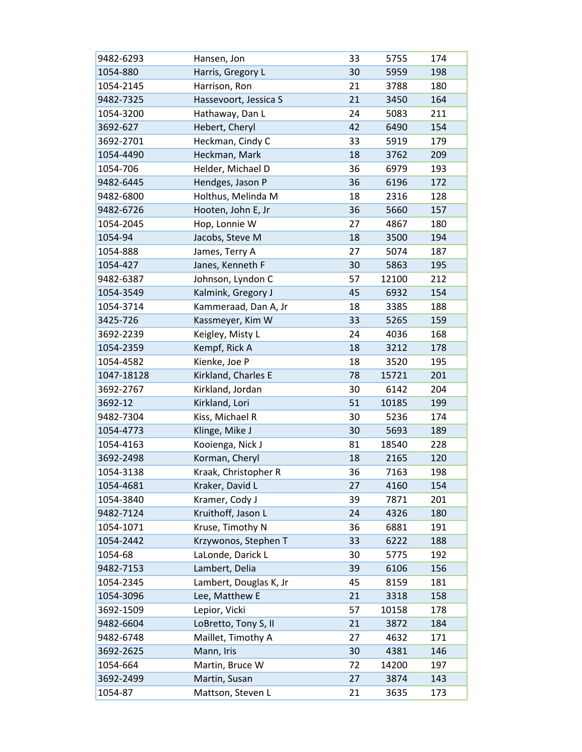| 9482-6293  | Hansen, Jon            | 33 | 5755  | 174 |
|------------|------------------------|----|-------|-----|
| 1054-880   | Harris, Gregory L      | 30 | 5959  | 198 |
| 1054-2145  | Harrison, Ron          | 21 | 3788  | 180 |
| 9482-7325  | Hassevoort, Jessica S  | 21 | 3450  | 164 |
| 1054-3200  | Hathaway, Dan L        | 24 | 5083  | 211 |
| 3692-627   | Hebert, Cheryl         | 42 | 6490  | 154 |
| 3692-2701  | Heckman, Cindy C       | 33 | 5919  | 179 |
| 1054-4490  | Heckman, Mark          | 18 | 3762  | 209 |
| 1054-706   | Helder, Michael D      | 36 | 6979  | 193 |
| 9482-6445  | Hendges, Jason P       | 36 | 6196  | 172 |
| 9482-6800  | Holthus, Melinda M     | 18 | 2316  | 128 |
| 9482-6726  | Hooten, John E, Jr     | 36 | 5660  | 157 |
| 1054-2045  | Hop, Lonnie W          | 27 | 4867  | 180 |
| 1054-94    | Jacobs, Steve M        | 18 | 3500  | 194 |
| 1054-888   | James, Terry A         | 27 | 5074  | 187 |
| 1054-427   | Janes, Kenneth F       | 30 | 5863  | 195 |
| 9482-6387  | Johnson, Lyndon C      | 57 | 12100 | 212 |
| 1054-3549  | Kalmink, Gregory J     | 45 | 6932  | 154 |
| 1054-3714  | Kammeraad, Dan A, Jr   | 18 | 3385  | 188 |
| 3425-726   | Kassmeyer, Kim W       | 33 | 5265  | 159 |
| 3692-2239  | Keigley, Misty L       | 24 | 4036  | 168 |
| 1054-2359  | Kempf, Rick A          | 18 | 3212  | 178 |
| 1054-4582  | Kienke, Joe P          | 18 | 3520  | 195 |
| 1047-18128 | Kirkland, Charles E    | 78 | 15721 | 201 |
| 3692-2767  | Kirkland, Jordan       | 30 | 6142  | 204 |
| 3692-12    | Kirkland, Lori         | 51 | 10185 | 199 |
| 9482-7304  | Kiss, Michael R        | 30 | 5236  | 174 |
| 1054-4773  | Klinge, Mike J         | 30 | 5693  | 189 |
| 1054-4163  | Kooienga, Nick J       | 81 | 18540 | 228 |
| 3692-2498  | Korman, Cheryl         | 18 | 2165  | 120 |
| 1054-3138  | Kraak, Christopher R   | 36 | 7163  | 198 |
| 1054-4681  | Kraker, David L        | 27 | 4160  | 154 |
| 1054-3840  | Kramer, Cody J         | 39 | 7871  | 201 |
| 9482-7124  | Kruithoff, Jason L     | 24 | 4326  | 180 |
| 1054-1071  | Kruse, Timothy N       | 36 | 6881  | 191 |
| 1054-2442  | Krzywonos, Stephen T   | 33 | 6222  | 188 |
| 1054-68    | LaLonde, Darick L      | 30 | 5775  | 192 |
| 9482-7153  | Lambert, Delia         | 39 | 6106  | 156 |
| 1054-2345  | Lambert, Douglas K, Jr | 45 | 8159  | 181 |
| 1054-3096  | Lee, Matthew E         | 21 | 3318  | 158 |
| 3692-1509  | Lepior, Vicki          | 57 | 10158 | 178 |
| 9482-6604  | LoBretto, Tony S, II   | 21 | 3872  | 184 |
| 9482-6748  | Maillet, Timothy A     | 27 | 4632  | 171 |
| 3692-2625  | Mann, Iris             | 30 | 4381  | 146 |
| 1054-664   | Martin, Bruce W        | 72 | 14200 | 197 |
| 3692-2499  | Martin, Susan          | 27 | 3874  | 143 |
| 1054-87    | Mattson, Steven L      | 21 | 3635  | 173 |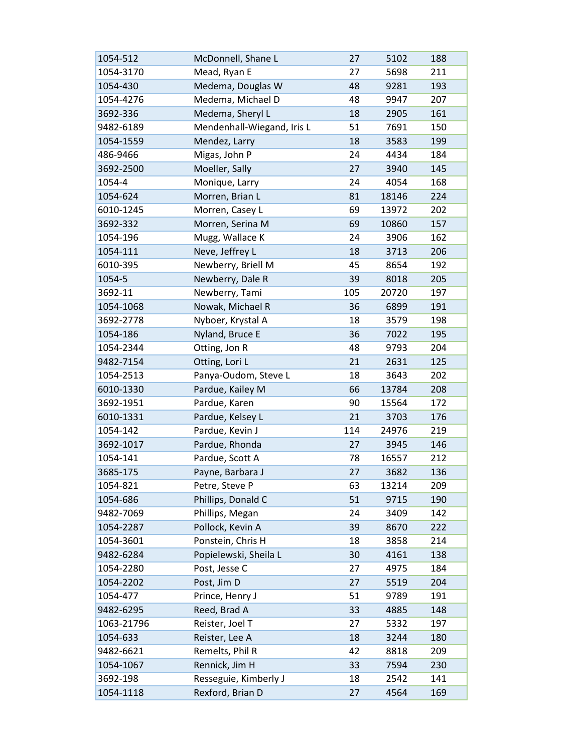| 1054-512   | McDonnell, Shane L         | 27  | 5102  | 188 |
|------------|----------------------------|-----|-------|-----|
| 1054-3170  | Mead, Ryan E               | 27  | 5698  | 211 |
| 1054-430   | Medema, Douglas W          | 48  | 9281  | 193 |
| 1054-4276  | Medema, Michael D          | 48  | 9947  | 207 |
| 3692-336   | Medema, Sheryl L           | 18  | 2905  | 161 |
| 9482-6189  | Mendenhall-Wiegand, Iris L | 51  | 7691  | 150 |
| 1054-1559  | Mendez, Larry              | 18  | 3583  | 199 |
| 486-9466   | Migas, John P              | 24  | 4434  | 184 |
| 3692-2500  | Moeller, Sally             | 27  | 3940  | 145 |
| 1054-4     | Monique, Larry             | 24  | 4054  | 168 |
| 1054-624   | Morren, Brian L            | 81  | 18146 | 224 |
| 6010-1245  | Morren, Casey L            | 69  | 13972 | 202 |
| 3692-332   | Morren, Serina M           | 69  | 10860 | 157 |
| 1054-196   | Mugg, Wallace K            | 24  | 3906  | 162 |
| 1054-111   | Neve, Jeffrey L            | 18  | 3713  | 206 |
| 6010-395   | Newberry, Briell M         | 45  | 8654  | 192 |
| 1054-5     | Newberry, Dale R           | 39  | 8018  | 205 |
| 3692-11    | Newberry, Tami             | 105 | 20720 | 197 |
| 1054-1068  | Nowak, Michael R           | 36  | 6899  | 191 |
| 3692-2778  | Nyboer, Krystal A          | 18  | 3579  | 198 |
| 1054-186   | Nyland, Bruce E            | 36  | 7022  | 195 |
| 1054-2344  | Otting, Jon R              | 48  | 9793  | 204 |
| 9482-7154  | Otting, Lori L             | 21  | 2631  | 125 |
| 1054-2513  | Panya-Oudom, Steve L       | 18  | 3643  | 202 |
| 6010-1330  | Pardue, Kailey M           | 66  | 13784 | 208 |
| 3692-1951  | Pardue, Karen              | 90  | 15564 | 172 |
| 6010-1331  | Pardue, Kelsey L           | 21  | 3703  | 176 |
| 1054-142   | Pardue, Kevin J            | 114 | 24976 | 219 |
| 3692-1017  | Pardue, Rhonda             | 27  | 3945  | 146 |
| 1054-141   | Pardue, Scott A            | 78  | 16557 | 212 |
| 3685-175   | Payne, Barbara J           | 27  | 3682  | 136 |
| 1054-821   | Petre, Steve P             | 63  | 13214 | 209 |
| 1054-686   | Phillips, Donald C         | 51  | 9715  | 190 |
| 9482-7069  | Phillips, Megan            | 24  | 3409  | 142 |
| 1054-2287  | Pollock, Kevin A           | 39  | 8670  | 222 |
| 1054-3601  | Ponstein, Chris H          | 18  | 3858  | 214 |
| 9482-6284  | Popielewski, Sheila L      | 30  | 4161  | 138 |
| 1054-2280  | Post, Jesse C              | 27  | 4975  | 184 |
| 1054-2202  | Post, Jim D                | 27  | 5519  | 204 |
| 1054-477   | Prince, Henry J            | 51  | 9789  | 191 |
| 9482-6295  | Reed, Brad A               | 33  | 4885  | 148 |
| 1063-21796 | Reister, Joel T            | 27  | 5332  | 197 |
| 1054-633   | Reister, Lee A             | 18  | 3244  | 180 |
| 9482-6621  | Remelts, Phil R            | 42  | 8818  | 209 |
| 1054-1067  | Rennick, Jim H             | 33  | 7594  | 230 |
| 3692-198   | Resseguie, Kimberly J      | 18  | 2542  | 141 |
| 1054-1118  | Rexford, Brian D           | 27  | 4564  | 169 |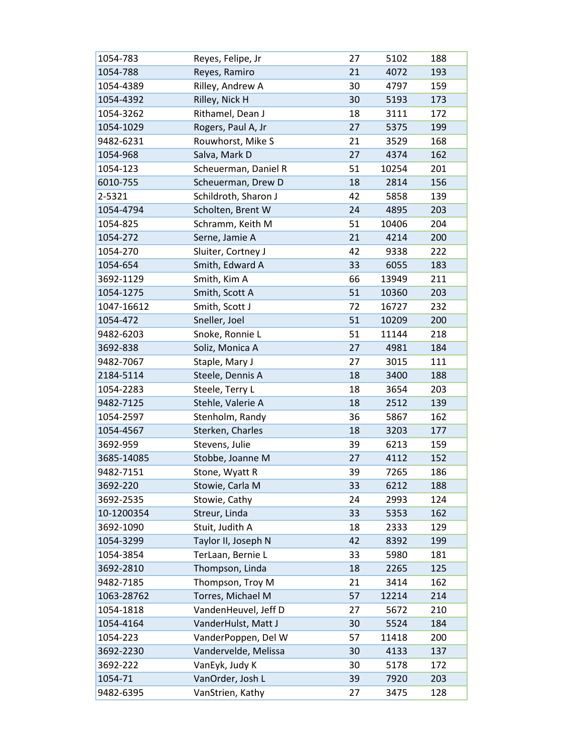| 1054-783   | Reyes, Felipe, Jr    | 27 | 5102  | 188 |
|------------|----------------------|----|-------|-----|
| 1054-788   | Reyes, Ramiro        | 21 | 4072  | 193 |
| 1054-4389  | Rilley, Andrew A     | 30 | 4797  | 159 |
| 1054-4392  | Rilley, Nick H       | 30 | 5193  | 173 |
| 1054-3262  | Rithamel, Dean J     | 18 | 3111  | 172 |
| 1054-1029  | Rogers, Paul A, Jr   | 27 | 5375  | 199 |
| 9482-6231  | Rouwhorst, Mike S    | 21 | 3529  | 168 |
| 1054-968   | Salva, Mark D        | 27 | 4374  | 162 |
| 1054-123   | Scheuerman, Daniel R | 51 | 10254 | 201 |
| 6010-755   | Scheuerman, Drew D   | 18 | 2814  | 156 |
| 2-5321     | Schildroth, Sharon J | 42 | 5858  | 139 |
| 1054-4794  | Scholten, Brent W    | 24 | 4895  | 203 |
| 1054-825   | Schramm, Keith M     | 51 | 10406 | 204 |
| 1054-272   | Serne, Jamie A       | 21 | 4214  | 200 |
| 1054-270   | Sluiter, Cortney J   | 42 | 9338  | 222 |
| 1054-654   | Smith, Edward A      | 33 | 6055  | 183 |
| 3692-1129  | Smith, Kim A         | 66 | 13949 | 211 |
| 1054-1275  | Smith, Scott A       | 51 | 10360 | 203 |
| 1047-16612 | Smith, Scott J       | 72 | 16727 | 232 |
| 1054-472   | Sneller, Joel        | 51 | 10209 | 200 |
| 9482-6203  | Snoke, Ronnie L      | 51 | 11144 | 218 |
| 3692-838   | Soliz, Monica A      | 27 | 4981  | 184 |
| 9482-7067  | Staple, Mary J       | 27 | 3015  | 111 |
| 2184-5114  | Steele, Dennis A     | 18 | 3400  | 188 |
| 1054-2283  | Steele, Terry L      | 18 | 3654  | 203 |
| 9482-7125  | Stehle, Valerie A    | 18 | 2512  | 139 |
| 1054-2597  | Stenholm, Randy      | 36 | 5867  | 162 |
| 1054-4567  | Sterken, Charles     | 18 | 3203  | 177 |
| 3692-959   | Stevens, Julie       | 39 | 6213  | 159 |
| 3685-14085 | Stobbe, Joanne M     | 27 | 4112  | 152 |
| 9482-7151  | Stone, Wyatt R       | 39 | 7265  | 186 |
| 3692-220   | Stowie, Carla M      | 33 | 6212  | 188 |
| 3692-2535  | Stowie, Cathy        | 24 | 2993  | 124 |
| 10-1200354 | Streur, Linda        | 33 | 5353  | 162 |
| 3692-1090  | Stuit, Judith A      | 18 | 2333  | 129 |
| 1054-3299  | Taylor II, Joseph N  | 42 | 8392  | 199 |
| 1054-3854  | TerLaan, Bernie L    | 33 | 5980  | 181 |
| 3692-2810  | Thompson, Linda      | 18 | 2265  | 125 |
| 9482-7185  | Thompson, Troy M     | 21 | 3414  | 162 |
| 1063-28762 | Torres, Michael M    | 57 | 12214 | 214 |
| 1054-1818  | VandenHeuvel, Jeff D | 27 | 5672  | 210 |
| 1054-4164  | VanderHulst, Matt J  | 30 | 5524  | 184 |
| 1054-223   | VanderPoppen, Del W  | 57 | 11418 | 200 |
| 3692-2230  | Vandervelde, Melissa | 30 | 4133  | 137 |
| 3692-222   | VanEyk, Judy K       | 30 | 5178  | 172 |
| 1054-71    | VanOrder, Josh L     | 39 | 7920  | 203 |
| 9482-6395  | VanStrien, Kathy     | 27 | 3475  | 128 |